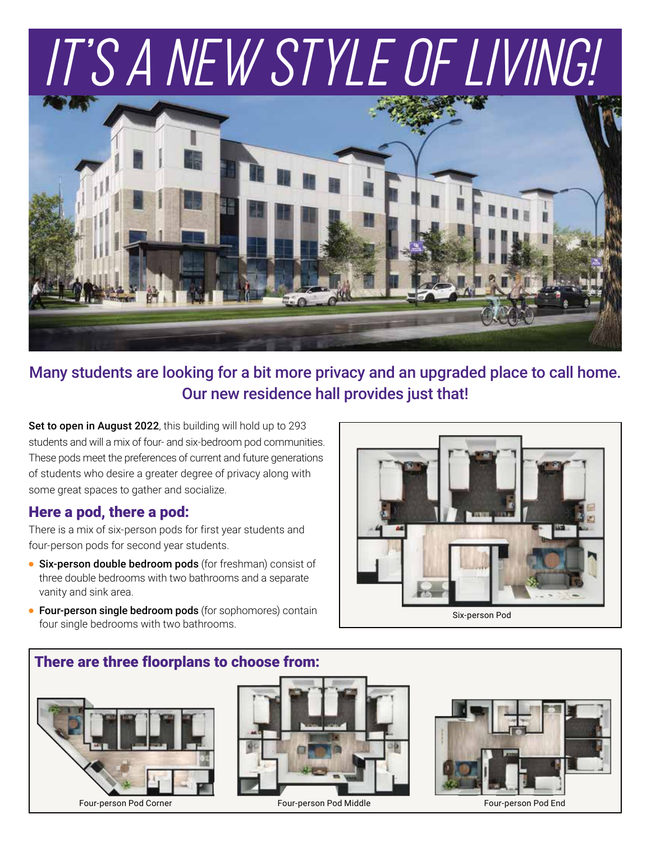# IT'S A NEW STYLE OF LIVING!



Many students are looking for a bit more privacy and an upgraded place to call home. Our new residence hall provides just that!

Set to open in August 2022, this building will hold up to 293 students and will a mix of four- and six-bedroom pod communities. These pods meet the preferences of current and future generations of students who desire a greater degree of privacy along with some great spaces to gather and socialize.

#### Here a pod, there a pod:

There is a mix of six-person pods for first year students and four-person pods for second year students.

- **Six-person double bedroom pods** (for freshman) consist of three double bedrooms with two bathrooms and a separate vanity and sink area.
- **Four-person single bedroom pods** (for sophomores) contain four single bedrooms with two bathrooms.